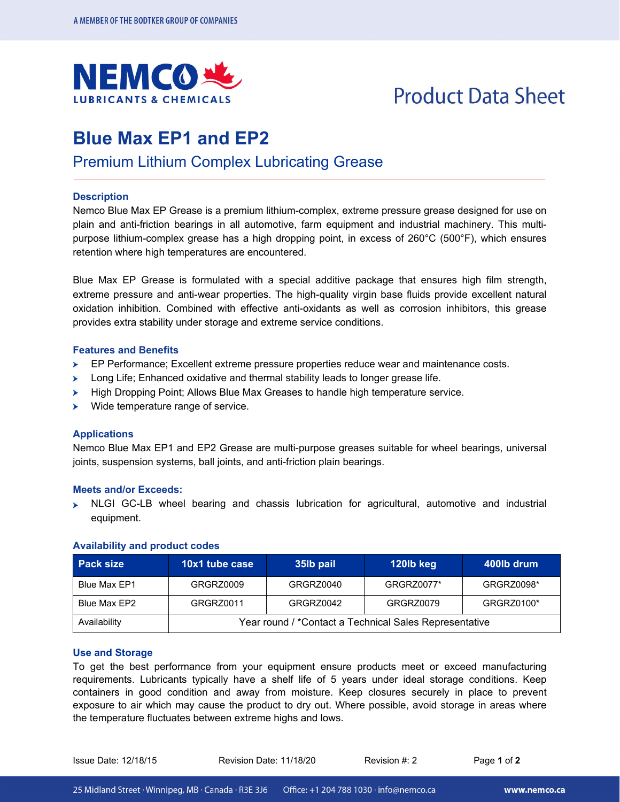

# **Product Data Sheet**

# **Blue Max EP1 and EP2**

Premium Lithium Complex Lubricating Grease

# **Description**

Nemco Blue Max EP Grease is a premium lithium-complex, extreme pressure grease designed for use on plain and anti-friction bearings in all automotive, farm equipment and industrial machinery. This multipurpose lithium-complex grease has a high dropping point, in excess of 260°C (500°F), which ensures retention where high temperatures are encountered.

Blue Max EP Grease is formulated with a special additive package that ensures high film strength, extreme pressure and anti-wear properties. The high-quality virgin base fluids provide excellent natural oxidation inhibition. Combined with effective anti-oxidants as well as corrosion inhibitors, this grease provides extra stability under storage and extreme service conditions.

# **Features and Benefits**

- EP Performance; Excellent extreme pressure properties reduce wear and maintenance costs.  $\blacktriangleright$
- $\blacktriangleright$ Long Life; Enhanced oxidative and thermal stability leads to longer grease life.
- High Dropping Point; Allows Blue Max Greases to handle high temperature service.
- $\blacktriangleright$  Wide temperature range of service.

# **Applications**

Nemco Blue Max EP1 and EP2 Grease are multi-purpose greases suitable for wheel bearings, universal joints, suspension systems, ball joints, and anti-friction plain bearings.

#### **Meets and/or Exceeds:**

 $\triangleright$  NLGI GC-LB wheel bearing and chassis lubrication for agricultural, automotive and industrial equipment.

| <b>Pack size</b> | 10x1 tube case                                         | 35 <sub>l</sub> pail | 120lb keg  | .400lb drum <b>\</b> |
|------------------|--------------------------------------------------------|----------------------|------------|----------------------|
| Blue Max EP1     | GRGRZ0009                                              | GRGRZ0040            | GRGRZ0077* | GRGRZ0098*           |
| Blue Max EP2     | GRGRZ0011                                              | GRGRZ0042            | GRGRZ0079  | GRGRZ0100*           |
| Availability     | Year round / *Contact a Technical Sales Representative |                      |            |                      |

#### **Availability and product codes**

### **Use and Storage**

To get the best performance from your equipment ensure products meet or exceed manufacturing requirements. Lubricants typically have a shelf life of 5 years under ideal storage conditions. Keep containers in good condition and away from moisture. Keep closures securely in place to prevent exposure to air which may cause the product to dry out. Where possible, avoid storage in areas where the temperature fluctuates between extreme highs and lows.

Issue Date: 12/18/15 Revision Date: 11/18/20 Revision #: 2 Page **1** of **2**